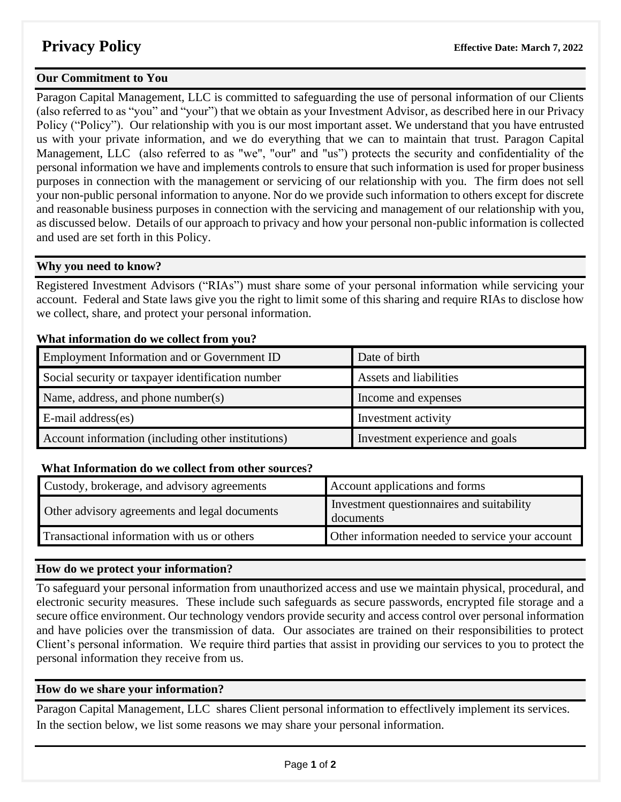## **Our Commitment to You**

Paragon Capital Management, LLC is committed to safeguarding the use of personal information of our Clients (also referred to as "you" and "your") that we obtain as your Investment Advisor, as described here in our Privacy Policy ("Policy"). Our relationship with you is our most important asset. We understand that you have entrusted us with your private information, and we do everything that we can to maintain that trust. Paragon Capital Management, LLC (also referred to as "we", "our" and "us") protects the security and confidentiality of the personal information we have and implements controls to ensure that such information is used for proper business purposes in connection with the management or servicing of our relationship with you. The firm does not sell your non-public personal information to anyone. Nor do we provide such information to others except for discrete and reasonable business purposes in connection with the servicing and management of our relationship with you, as discussed below. Details of our approach to privacy and how your personal non-public information is collected and used are set forth in this Policy.

## **Why you need to know?**

Registered Investment Advisors ("RIAs") must share some of your personal information while servicing your account. Federal and State laws give you the right to limit some of this sharing and require RIAs to disclose how we collect, share, and protect your personal information.

## **What information do we collect from you?**

| Employment Information and or Government ID        | Date of birth                   |
|----------------------------------------------------|---------------------------------|
| Social security or taxpayer identification number  | Assets and liabilities          |
| Name, address, and phone number(s)                 | Income and expenses             |
| $E$ -mail address $(es)$                           | Investment activity             |
| Account information (including other institutions) | Investment experience and goals |

### **What Information do we collect from other sources?**

| Custody, brokerage, and advisory agreements        | Account applications and forms                         |
|----------------------------------------------------|--------------------------------------------------------|
| Other advisory agreements and legal documents      | Investment questionnaires and suitability<br>documents |
| <b>Transactional information with us or others</b> | Other information needed to service your account       |

# **How do we protect your information?**

To safeguard your personal information from unauthorized access and use we maintain physical, procedural, and electronic security measures. These include such safeguards as secure passwords, encrypted file storage and a secure office environment. Our technology vendors provide security and access control over personal information and have policies over the transmission of data. Our associates are trained on their responsibilities to protect Client's personal information. We require third parties that assist in providing our services to you to protect the personal information they receive from us.

### **How do we share your information?**

Paragon Capital Management, LLC shares Client personal information to effectlively implement its services. In the section below, we list some reasons we may share your personal information.